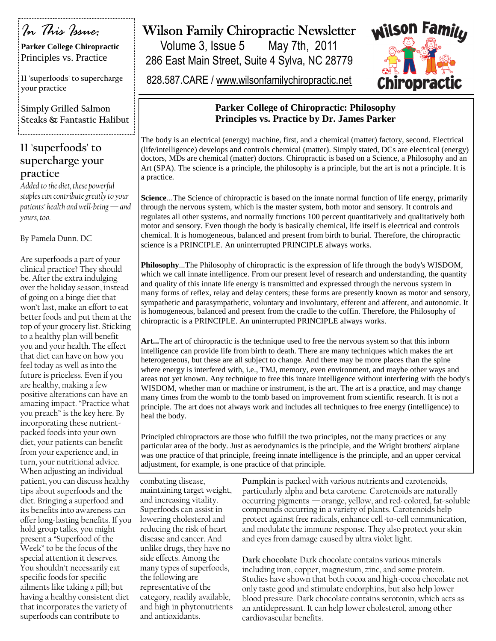# *In This Issue:*

**Parker College Chiropractic** Principles vs. Practice

**11 'superfoods' to supercharge your practice**

**Simply Grilled Salmon Steaks & Fantastic Halibut**

### **11 'superfoods' to supercharge your practice**

*Added to the diet, these powerful staples can contribute greatly to your patients' health and well-being —and yours, too.*

By Pamela Dunn, DC

Are superfoods a part of your clinical practice? They should be. After the extra indulging over the holiday season, instead of going on a binge diet that won't last, make an effort to eat better foods and put them at the top of your grocery list. Sticking to a healthy plan will benefit you and your health. The effect that diet can have on how you feel today as well as into the future is priceless. Even if you are healthy, making a few positive alterations can have an amazing impact. "Practice what you preach" is the key here. By incorporating these nutrientpacked foods into your own diet, your patients can benefit from your experience and, in turn, your nutritional advice. When adjusting an individual patient, you can discuss healthy tips about superfoods and the diet. Bringing a superfood and its benefits into awareness can offer long-lasting benefits. If you hold group talks, you might present a "Superfood of the Week" to be the focus of the special attention it deserves. You shouldn't necessarily eat specific foods for specific ailments like taking a pill; but having a healthy consistent diet that incorporates the variety of superfoods can contribute to

## Wilson Family Chiropractic Newsletter

Volume 3, Issue 5 May 7th, 2011 286 East Main Street, Suite 4 Sylva, NC 28779

828.587.CARE / www.wilsonfamilychiropractic.net



### **Parker College of Chiropractic: Philosophy Principles vs. Practice by Dr. James Parker**

The body is an electrical (energy) machine, first, and a chemical (matter) factory, second. Electrical (life/intelligence) develops and controls chemical (matter). Simply stated, DCs are electrical (energy) doctors, MDs are chemical (matter) doctors. Chiropractic is based on a Science, a Philosophy and an Art (SPA). The science is a principle, the philosophy is a principle, but the art is not a principle. It is a practice.

**Science**...The Science of chiropractic is based on the innate normal function of life energy, primarily through the nervous system, which is the master system, both motor and sensory. It controls and regulates all other systems, and normally functions 100 percent quantitatively and qualitatively both motor and sensory. Even though the body is basically chemical, life itself is electrical and controls chemical. It is homogeneous, balanced and present from birth to burial. Therefore, the chiropractic science is a PRINCIPLE. An uninterrupted PRINCIPLE always works.

**Philosophy**...The Philosophy of chiropractic is the expression of life through the body's WISDOM, which we call innate intelligence. From our present level of research and understanding, the quantity and quality of this innate life energy is transmitted and expressed through the nervous system in many forms of reflex, relay and delay centers; these forms are presently known as motor and sensory, sympathetic and parasympathetic, voluntary and involuntary, efferent and afferent, and autonomic. It is homogeneous, balanced and present from the cradle to the coffin. Therefore, the Philosophy of chiropractic is a PRINCIPLE. An uninterrupted PRINCIPLE always works.

**Art...**The art of chiropractic is the technique used to free the nervous system so that this inborn intelligence can provide life from birth to death. There are many techniques which makes the art heterogeneous, but these are all subject to change. And there may be more places than the spine where energy is interfered with, i.e., TMJ, memory, even environment, and maybe other ways and areas not yet known. Any technique to free this innate intelligence without interfering with the body's WISDOM, whether man or machine or instrument, is the art. The art is a practice, and may change many times from the womb to the tomb based on improvement from scientific research. It is not a principle. The art does not always work and includes all techniques to free energy (intelligence) to heal the body.

Principled chiropractors are those who fulfill the two principles, not the many practices or any particular area of the body. Just as aerodynamics is the principle, and the Wright brothers' airplane was one practice of that principle, freeing innate intelligence is the principle, and an upper cervical adjustment, for example, is one practice of that principle.

combating disease, maintaining target weight, and increasing vitality. Superfoods can assist in lowering cholesterol and reducing the risk of heart disease and cancer. And unlike drugs, they have no side effects. Among the many types of superfoods, the following are representative of the category, readily available, and high in phytonutrients and antioxidants.

**Pumpkin** is packed with various nutrients and carotenoids, particularly alpha and beta carotene. Carotenoids are naturally occurring pigments —orange, yellow, and red-colored, fat-soluble compounds occurring in a variety of plants. Carotenoids help protect against free radicals, enhance cell-to-cell communication, and modulate the immune response. They also protect your skin and eyes from damage caused by ultra violet light.

**Dark chocolate** Dark chocolate contains various minerals including iron, copper, magnesium, zinc, and some protein. Studies have shown that both cocoa and high-cocoa chocolate not only taste good and stimulate endorphins, but also help lower blood pressure. Dark chocolate contains serotonin, which acts as an antidepressant. It can help lower cholesterol, among other cardiovascular benefits.